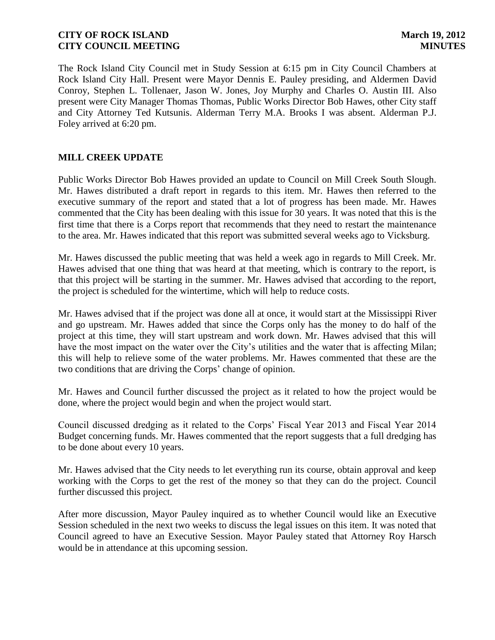The Rock Island City Council met in Study Session at 6:15 pm in City Council Chambers at Rock Island City Hall. Present were Mayor Dennis E. Pauley presiding, and Aldermen David Conroy, Stephen L. Tollenaer, Jason W. Jones, Joy Murphy and Charles O. Austin III. Also present were City Manager Thomas Thomas, Public Works Director Bob Hawes, other City staff and City Attorney Ted Kutsunis. Alderman Terry M.A. Brooks I was absent. Alderman P.J. Foley arrived at 6:20 pm.

# **MILL CREEK UPDATE**

Public Works Director Bob Hawes provided an update to Council on Mill Creek South Slough. Mr. Hawes distributed a draft report in regards to this item. Mr. Hawes then referred to the executive summary of the report and stated that a lot of progress has been made. Mr. Hawes commented that the City has been dealing with this issue for 30 years. It was noted that this is the first time that there is a Corps report that recommends that they need to restart the maintenance to the area. Mr. Hawes indicated that this report was submitted several weeks ago to Vicksburg.

Mr. Hawes discussed the public meeting that was held a week ago in regards to Mill Creek. Mr. Hawes advised that one thing that was heard at that meeting, which is contrary to the report, is that this project will be starting in the summer. Mr. Hawes advised that according to the report, the project is scheduled for the wintertime, which will help to reduce costs.

Mr. Hawes advised that if the project was done all at once, it would start at the Mississippi River and go upstream. Mr. Hawes added that since the Corps only has the money to do half of the project at this time, they will start upstream and work down. Mr. Hawes advised that this will have the most impact on the water over the City's utilities and the water that is affecting Milan; this will help to relieve some of the water problems. Mr. Hawes commented that these are the two conditions that are driving the Corps' change of opinion.

Mr. Hawes and Council further discussed the project as it related to how the project would be done, where the project would begin and when the project would start.

Council discussed dredging as it related to the Corps' Fiscal Year 2013 and Fiscal Year 2014 Budget concerning funds. Mr. Hawes commented that the report suggests that a full dredging has to be done about every 10 years.

Mr. Hawes advised that the City needs to let everything run its course, obtain approval and keep working with the Corps to get the rest of the money so that they can do the project. Council further discussed this project.

After more discussion, Mayor Pauley inquired as to whether Council would like an Executive Session scheduled in the next two weeks to discuss the legal issues on this item. It was noted that Council agreed to have an Executive Session. Mayor Pauley stated that Attorney Roy Harsch would be in attendance at this upcoming session.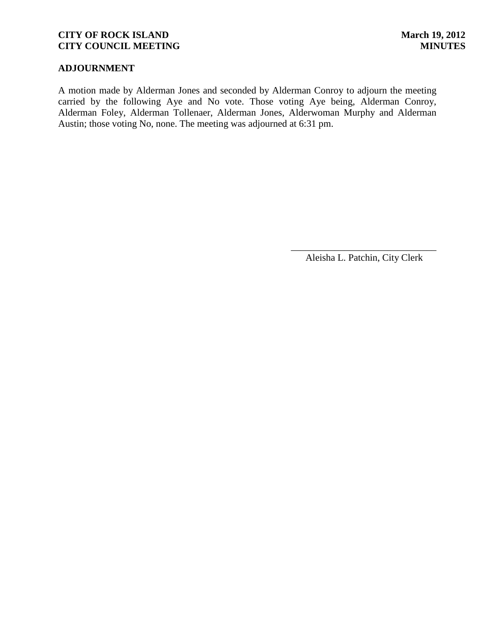# **ADJOURNMENT**

A motion made by Alderman Jones and seconded by Alderman Conroy to adjourn the meeting carried by the following Aye and No vote. Those voting Aye being, Alderman Conroy, Alderman Foley, Alderman Tollenaer, Alderman Jones, Alderwoman Murphy and Alderman Austin; those voting No, none. The meeting was adjourned at 6:31 pm.

> \_\_\_\_\_\_\_\_\_\_\_\_\_\_\_\_\_\_\_\_\_\_\_\_\_\_\_\_\_\_ Aleisha L. Patchin, City Clerk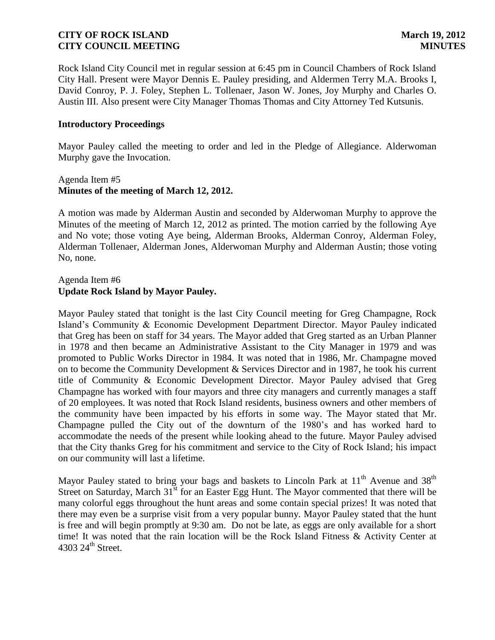Rock Island City Council met in regular session at 6:45 pm in Council Chambers of Rock Island City Hall. Present were Mayor Dennis E. Pauley presiding, and Aldermen Terry M.A. Brooks I, David Conroy, P. J. Foley, Stephen L. Tollenaer, Jason W. Jones, Joy Murphy and Charles O. Austin III. Also present were City Manager Thomas Thomas and City Attorney Ted Kutsunis.

## **Introductory Proceedings**

Mayor Pauley called the meeting to order and led in the Pledge of Allegiance. Alderwoman Murphy gave the Invocation.

## Agenda Item #5 **Minutes of the meeting of March 12, 2012.**

A motion was made by Alderman Austin and seconded by Alderwoman Murphy to approve the Minutes of the meeting of March 12, 2012 as printed. The motion carried by the following Aye and No vote; those voting Aye being, Alderman Brooks, Alderman Conroy, Alderman Foley, Alderman Tollenaer, Alderman Jones, Alderwoman Murphy and Alderman Austin; those voting No, none.

# Agenda Item #6 **Update Rock Island by Mayor Pauley.**

Mayor Pauley stated that tonight is the last City Council meeting for Greg Champagne, Rock Island's Community & Economic Development Department Director. Mayor Pauley indicated that Greg has been on staff for 34 years. The Mayor added that Greg started as an Urban Planner in 1978 and then became an Administrative Assistant to the City Manager in 1979 and was promoted to Public Works Director in 1984. It was noted that in 1986, Mr. Champagne moved on to become the Community Development & Services Director and in 1987, he took his current title of Community & Economic Development Director. Mayor Pauley advised that Greg Champagne has worked with four mayors and three city managers and currently manages a staff of 20 employees. It was noted that Rock Island residents, business owners and other members of the community have been impacted by his efforts in some way. The Mayor stated that Mr. Champagne pulled the City out of the downturn of the 1980's and has worked hard to accommodate the needs of the present while looking ahead to the future. Mayor Pauley advised that the City thanks Greg for his commitment and service to the City of Rock Island; his impact on our community will last a lifetime.

Mayor Pauley stated to bring your bags and baskets to Lincoln Park at  $11<sup>th</sup>$  Avenue and 38<sup>th</sup> Street on Saturday, March  $31<sup>st</sup>$  for an Easter Egg Hunt. The Mayor commented that there will be many colorful eggs throughout the hunt areas and some contain special prizes! It was noted that there may even be a surprise visit from a very popular bunny. Mayor Pauley stated that the hunt is free and will begin promptly at 9:30 am. Do not be late, as eggs are only available for a short time! It was noted that the rain location will be the Rock Island Fitness & Activity Center at 4303 24<sup>th</sup> Street.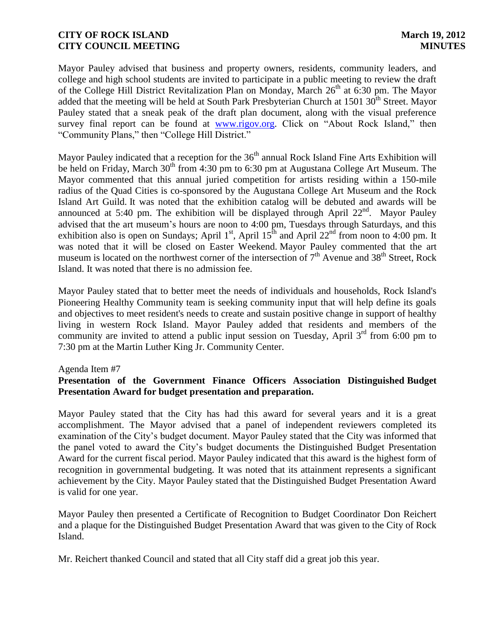Mayor Pauley advised that business and property owners, residents, community leaders, and college and high school students are invited to participate in a public meeting to review the draft of the College Hill District Revitalization Plan on Monday, March  $26<sup>th</sup>$  at 6:30 pm. The Mayor added that the meeting will be held at South Park Presbyterian Church at 1501 30<sup>th</sup> Street. Mayor Pauley stated that a sneak peak of the draft plan document, along with the visual preference survey final report can be found at [www.rigov.org.](http://www.rigov.org/) Click on "About Rock Island," then "Community Plans," then "College Hill District."

Mayor Pauley indicated that a reception for the  $36<sup>th</sup>$  annual Rock Island Fine Arts Exhibition will be held on Friday, March 30<sup>th</sup> from 4:30 pm to 6:30 pm at Augustana College Art Museum. The Mayor commented that this annual juried competition for artists residing within a 150-mile radius of the Quad Cities is co-sponsored by the Augustana College Art Museum and the Rock Island Art Guild. It was noted that the exhibition catalog will be debuted and awards will be announced at 5:40 pm. The exhibition will be displayed through April  $22<sup>nd</sup>$ . Mayor Pauley advised that the art museum's hours are noon to 4:00 pm, Tuesdays through Saturdays, and this exhibition also is open on Sundays; April 1<sup>st</sup>, April 15<sup>th</sup> and April 22<sup>nd</sup> from noon to 4:00 pm. It was noted that it will be closed on Easter Weekend. Mayor Pauley commented that the art museum is located on the northwest corner of the intersection of  $7<sup>th</sup>$  Avenue and 38<sup>th</sup> Street, Rock Island. It was noted that there is no admission fee.

Mayor Pauley stated that to better meet the needs of individuals and households, Rock Island's Pioneering Healthy Community team is seeking community input that will help define its goals and objectives to meet resident's needs to create and sustain positive change in support of healthy living in western Rock Island. Mayor Pauley added that residents and members of the community are invited to attend a public input session on Tuesday, April  $3<sup>rd</sup>$  from 6:00 pm to 7:30 pm at the Martin Luther King Jr. Community Center.

## Agenda Item #7

# **Presentation of the Government Finance Officers Association Distinguished Budget Presentation Award for budget presentation and preparation.**

Mayor Pauley stated that the City has had this award for several years and it is a great accomplishment. The Mayor advised that a panel of independent reviewers completed its examination of the City's budget document. Mayor Pauley stated that the City was informed that the panel voted to award the City's budget documents the Distinguished Budget Presentation Award for the current fiscal period. Mayor Pauley indicated that this award is the highest form of recognition in governmental budgeting. It was noted that its attainment represents a significant achievement by the City. Mayor Pauley stated that the Distinguished Budget Presentation Award is valid for one year.

Mayor Pauley then presented a Certificate of Recognition to Budget Coordinator Don Reichert and a plaque for the Distinguished Budget Presentation Award that was given to the City of Rock Island.

Mr. Reichert thanked Council and stated that all City staff did a great job this year.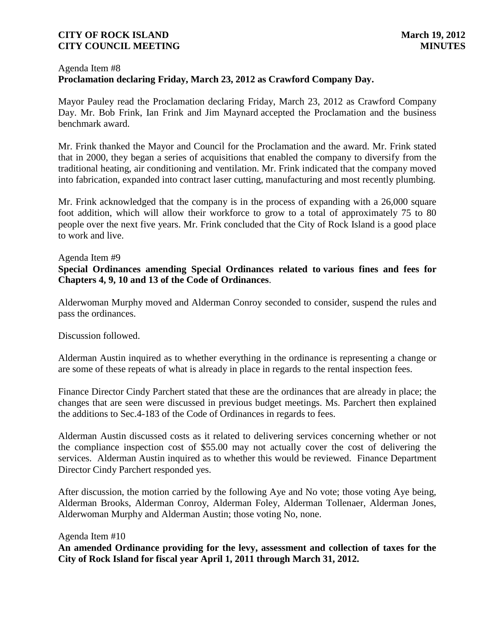## Agenda Item #8 **Proclamation declaring Friday, March 23, 2012 as Crawford Company Day.**

Mayor Pauley read the Proclamation declaring Friday, March 23, 2012 as Crawford Company Day. Mr. Bob Frink, Ian Frink and Jim Maynard accepted the Proclamation and the business benchmark award.

Mr. Frink thanked the Mayor and Council for the Proclamation and the award. Mr. Frink stated that in 2000, they began a series of acquisitions that enabled the company to diversify from the traditional heating, air conditioning and ventilation. Mr. Frink indicated that the company moved into fabrication, expanded into contract laser cutting, manufacturing and most recently plumbing.

Mr. Frink acknowledged that the company is in the process of expanding with a 26,000 square foot addition, which will allow their workforce to grow to a total of approximately 75 to 80 people over the next five years. Mr. Frink concluded that the City of Rock Island is a good place to work and live.

## Agenda Item #9

# **Special Ordinances amending Special Ordinances related to various fines and fees for Chapters 4, 9, 10 and 13 of the Code of Ordinances**.

Alderwoman Murphy moved and Alderman Conroy seconded to consider, suspend the rules and pass the ordinances.

Discussion followed.

Alderman Austin inquired as to whether everything in the ordinance is representing a change or are some of these repeats of what is already in place in regards to the rental inspection fees.

Finance Director Cindy Parchert stated that these are the ordinances that are already in place; the changes that are seen were discussed in previous budget meetings. Ms. Parchert then explained the additions to Sec.4-183 of the Code of Ordinances in regards to fees.

Alderman Austin discussed costs as it related to delivering services concerning whether or not the compliance inspection cost of \$55.00 may not actually cover the cost of delivering the services. Alderman Austin inquired as to whether this would be reviewed. Finance Department Director Cindy Parchert responded yes.

After discussion, the motion carried by the following Aye and No vote; those voting Aye being, Alderman Brooks, Alderman Conroy, Alderman Foley, Alderman Tollenaer, Alderman Jones, Alderwoman Murphy and Alderman Austin; those voting No, none.

Agenda Item #10

**An amended Ordinance providing for the levy, assessment and collection of taxes for the City of Rock Island for fiscal year April 1, 2011 through March 31, 2012.**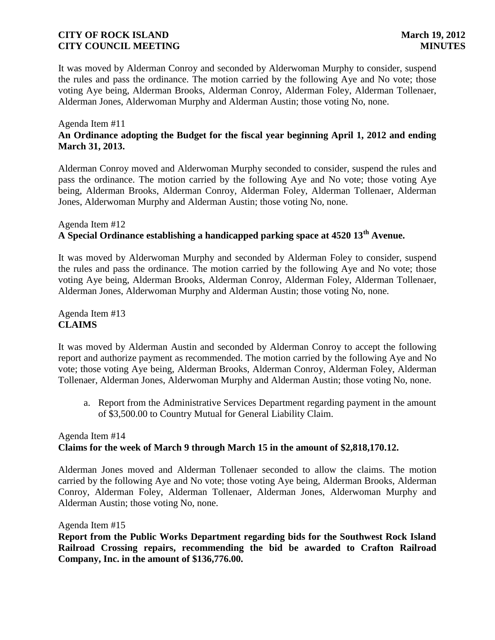It was moved by Alderman Conroy and seconded by Alderwoman Murphy to consider, suspend the rules and pass the ordinance. The motion carried by the following Aye and No vote; those voting Aye being, Alderman Brooks, Alderman Conroy, Alderman Foley, Alderman Tollenaer, Alderman Jones, Alderwoman Murphy and Alderman Austin; those voting No, none.

## Agenda Item #11 **An Ordinance adopting the Budget for the fiscal year beginning April 1, 2012 and ending March 31, 2013.**

Alderman Conroy moved and Alderwoman Murphy seconded to consider, suspend the rules and pass the ordinance. The motion carried by the following Aye and No vote; those voting Aye being, Alderman Brooks, Alderman Conroy, Alderman Foley, Alderman Tollenaer, Alderman Jones, Alderwoman Murphy and Alderman Austin; those voting No, none.

# Agenda Item #12 **A Special Ordinance establishing a handicapped parking space at 4520 13th Avenue.**

 It was moved by Alderwoman Murphy and seconded by Alderman Foley to consider, suspend the rules and pass the ordinance. The motion carried by the following Aye and No vote; those voting Aye being, Alderman Brooks, Alderman Conroy, Alderman Foley, Alderman Tollenaer, Alderman Jones, Alderwoman Murphy and Alderman Austin; those voting No, none.

Agenda Item #13 **CLAIMS**

It was moved by Alderman Austin and seconded by Alderman Conroy to accept the following report and authorize payment as recommended. The motion carried by the following Aye and No vote; those voting Aye being, Alderman Brooks, Alderman Conroy, Alderman Foley, Alderman Tollenaer, Alderman Jones, Alderwoman Murphy and Alderman Austin; those voting No, none.

a. Report from the Administrative Services Department regarding payment in the amount of \$3,500.00 to Country Mutual for General Liability Claim.

# Agenda Item #14 **Claims for the week of March 9 through March 15 in the amount of \$2,818,170.12.**

Alderman Jones moved and Alderman Tollenaer seconded to allow the claims. The motion carried by the following Aye and No vote; those voting Aye being, Alderman Brooks, Alderman Conroy, Alderman Foley, Alderman Tollenaer, Alderman Jones, Alderwoman Murphy and Alderman Austin; those voting No, none.

Agenda Item #15

 **Report from the Public Works Department regarding bids for the Southwest Rock Island Railroad Crossing repairs, recommending the bid be awarded to Crafton Railroad Company, Inc. in the amount of \$136,776.00.**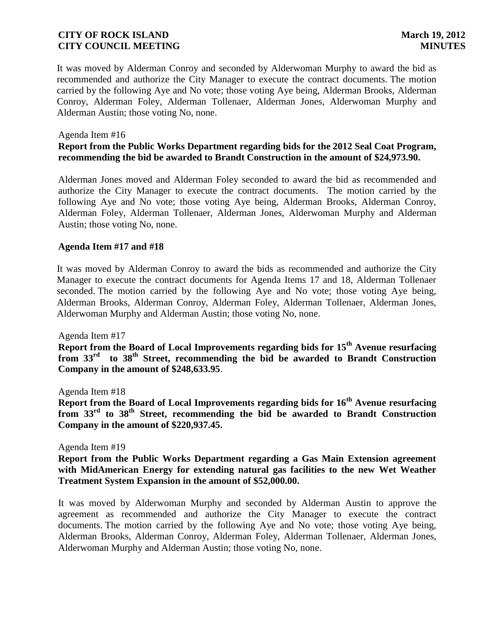It was moved by Alderman Conroy and seconded by Alderwoman Murphy to award the bid as recommended and authorize the City Manager to execute the contract documents. The motion carried by the following Aye and No vote; those voting Aye being, Alderman Brooks, Alderman Conroy, Alderman Foley, Alderman Tollenaer, Alderman Jones, Alderwoman Murphy and Alderman Austin; those voting No, none.

### Agenda Item #16

## **Report from the Public Works Department regarding bids for the 2012 Seal Coat Program, recommending the bid be awarded to Brandt Construction in the amount of \$24,973.90.**

Alderman Jones moved and Alderman Foley seconded to award the bid as recommended and authorize the City Manager to execute the contract documents. The motion carried by the following Aye and No vote; those voting Aye being, Alderman Brooks, Alderman Conroy, Alderman Foley, Alderman Tollenaer, Alderman Jones, Alderwoman Murphy and Alderman Austin; those voting No, none.

### **Agenda Item #17 and #18**

It was moved by Alderman Conroy to award the bids as recommended and authorize the City Manager to execute the contract documents for Agenda Items 17 and 18, Alderman Tollenaer seconded. The motion carried by the following Aye and No vote; those voting Aye being, Alderman Brooks, Alderman Conroy, Alderman Foley, Alderman Tollenaer, Alderman Jones, Alderwoman Murphy and Alderman Austin; those voting No, none.

Agenda Item #17

**Report from the Board of Local Improvements regarding bids for 15th Avenue resurfacing from 33rd to 38th Street, recommending the bid be awarded to Brandt Construction Company in the amount of \$248,633.95**.

Agenda Item #18

**Report from the Board of Local Improvements regarding bids for 16th Avenue resurfacing from 33rd to 38th Street, recommending the bid be awarded to Brandt Construction Company in the amount of \$220,937.45.**

Agenda Item #19

**Report from the Public Works Department regarding a Gas Main Extension agreement with MidAmerican Energy for extending natural gas facilities to the new Wet Weather Treatment System Expansion in the amount of \$52,000.00.**

It was moved by Alderwoman Murphy and seconded by Alderman Austin to approve the agreement as recommended and authorize the City Manager to execute the contract documents. The motion carried by the following Aye and No vote; those voting Aye being, Alderman Brooks, Alderman Conroy, Alderman Foley, Alderman Tollenaer, Alderman Jones, Alderwoman Murphy and Alderman Austin; those voting No, none.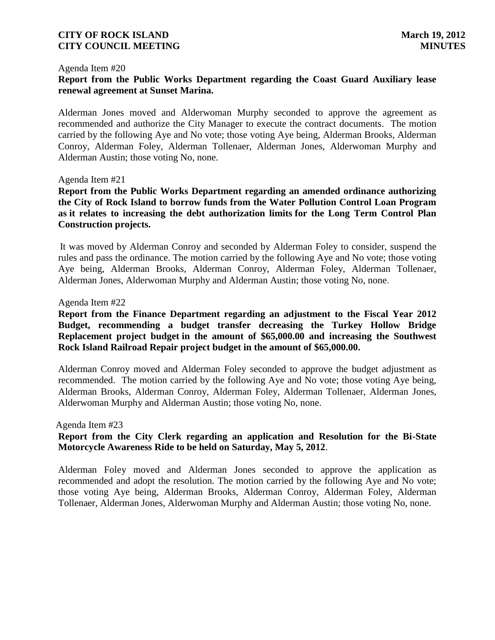### Agenda Item #20

## **Report from the Public Works Department regarding the Coast Guard Auxiliary lease renewal agreement at Sunset Marina.**

Alderman Jones moved and Alderwoman Murphy seconded to approve the agreement as recommended and authorize the City Manager to execute the contract documents. The motion carried by the following Aye and No vote; those voting Aye being, Alderman Brooks, Alderman Conroy, Alderman Foley, Alderman Tollenaer, Alderman Jones, Alderwoman Murphy and Alderman Austin; those voting No, none.

### Agenda Item #21

 **Report from the Public Works Department regarding an amended ordinance authorizing the City of Rock Island to borrow funds from the Water Pollution Control Loan Program as it relates to increasing the debt authorization limits for the Long Term Control Plan Construction projects.**

 It was moved by Alderman Conroy and seconded by Alderman Foley to consider, suspend the rules and pass the ordinance. The motion carried by the following Aye and No vote; those voting Aye being, Alderman Brooks, Alderman Conroy, Alderman Foley, Alderman Tollenaer, Alderman Jones, Alderwoman Murphy and Alderman Austin; those voting No, none.

### Agenda Item #22

## **Report from the Finance Department regarding an adjustment to the Fiscal Year 2012 Budget, recommending a budget transfer decreasing the Turkey Hollow Bridge Replacement project budget in the amount of \$65,000.00 and increasing the Southwest Rock Island Railroad Repair project budget in the amount of \$65,000.00.**

Alderman Conroy moved and Alderman Foley seconded to approve the budget adjustment as recommended. The motion carried by the following Aye and No vote; those voting Aye being, Alderman Brooks, Alderman Conroy, Alderman Foley, Alderman Tollenaer, Alderman Jones, Alderwoman Murphy and Alderman Austin; those voting No, none.

#### Agenda Item #23

## **Report from the City Clerk regarding an application and Resolution for the Bi-State Motorcycle Awareness Ride to be held on Saturday, May 5, 2012**.

Alderman Foley moved and Alderman Jones seconded to approve the application as recommended and adopt the resolution. The motion carried by the following Aye and No vote; those voting Aye being, Alderman Brooks, Alderman Conroy, Alderman Foley, Alderman Tollenaer, Alderman Jones, Alderwoman Murphy and Alderman Austin; those voting No, none.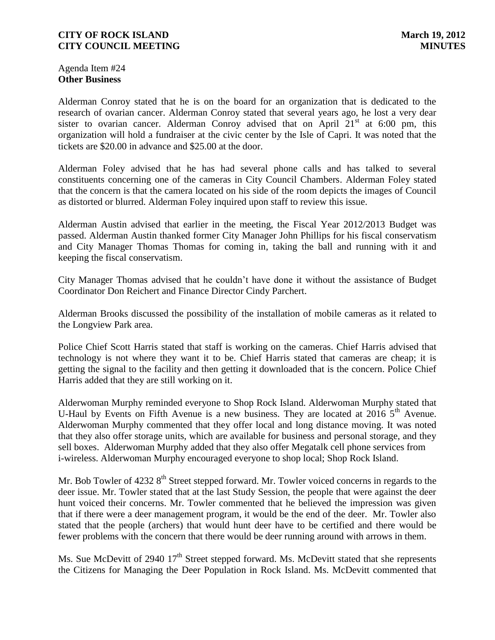Agenda Item #24 **Other Business**

Alderman Conroy stated that he is on the board for an organization that is dedicated to the research of ovarian cancer. Alderman Conroy stated that several years ago, he lost a very dear sister to ovarian cancer. Alderman Conroy advised that on April  $21<sup>st</sup>$  at 6:00 pm, this organization will hold a fundraiser at the civic center by the Isle of Capri. It was noted that the tickets are \$20.00 in advance and \$25.00 at the door.

Alderman Foley advised that he has had several phone calls and has talked to several constituents concerning one of the cameras in City Council Chambers. Alderman Foley stated that the concern is that the camera located on his side of the room depicts the images of Council as distorted or blurred. Alderman Foley inquired upon staff to review this issue.

Alderman Austin advised that earlier in the meeting, the Fiscal Year 2012/2013 Budget was passed. Alderman Austin thanked former City Manager John Phillips for his fiscal conservatism and City Manager Thomas Thomas for coming in, taking the ball and running with it and keeping the fiscal conservatism.

City Manager Thomas advised that he couldn't have done it without the assistance of Budget Coordinator Don Reichert and Finance Director Cindy Parchert.

Alderman Brooks discussed the possibility of the installation of mobile cameras as it related to the Longview Park area.

Police Chief Scott Harris stated that staff is working on the cameras. Chief Harris advised that technology is not where they want it to be. Chief Harris stated that cameras are cheap; it is getting the signal to the facility and then getting it downloaded that is the concern. Police Chief Harris added that they are still working on it.

Alderwoman Murphy reminded everyone to Shop Rock Island. Alderwoman Murphy stated that U-Haul by Events on Fifth Avenue is a new business. They are located at 2016  $5<sup>th</sup>$  Avenue. Alderwoman Murphy commented that they offer local and long distance moving. It was noted that they also offer storage units, which are available for business and personal storage, and they sell boxes. Alderwoman Murphy added that they also offer Megatalk cell phone services from i-wireless. Alderwoman Murphy encouraged everyone to shop local; Shop Rock Island.

Mr. Bob Towler of 4232 8<sup>th</sup> Street stepped forward. Mr. Towler voiced concerns in regards to the deer issue. Mr. Towler stated that at the last Study Session, the people that were against the deer hunt voiced their concerns. Mr. Towler commented that he believed the impression was given that if there were a deer management program, it would be the end of the deer. Mr. Towler also stated that the people (archers) that would hunt deer have to be certified and there would be fewer problems with the concern that there would be deer running around with arrows in them.

Ms. Sue McDevitt of 2940 17<sup>th</sup> Street stepped forward. Ms. McDevitt stated that she represents the Citizens for Managing the Deer Population in Rock Island. Ms. McDevitt commented that